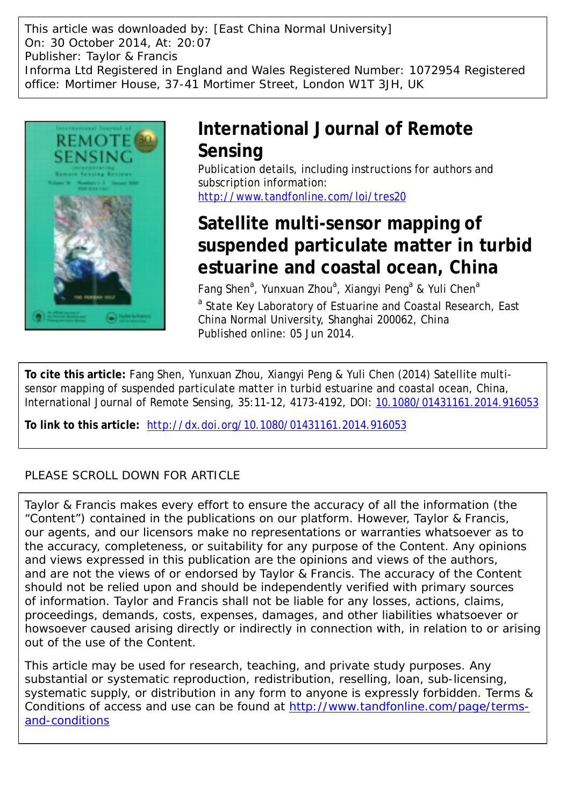This article was downloaded by: [East China Normal University] On: 30 October 2014, At: 20:07 Publisher: Taylor & Francis Informa Ltd Registered in England and Wales Registered Number: 1072954 Registered office: Mortimer House, 37-41 Mortimer Street, London W1T 3JH, UK



## **International Journal of Remote Sensing**

Publication details, including instructions for authors and subscription information: <http://www.tandfonline.com/loi/tres20>

# **Satellite multi-sensor mapping of suspended particulate matter in turbid estuarine and coastal ocean, China**

Fang Shen<sup>a</sup>, Yunxuan Zhou<sup>a</sup>, Xiangyi Peng<sup>a</sup> & Yuli Chen<sup>a</sup> <sup>a</sup> State Key Laboratory of Estuarine and Coastal Research, East China Normal University, Shanghai 200062, China Published online: 05 Jun 2014.

**To cite this article:** Fang Shen, Yunxuan Zhou, Xiangyi Peng & Yuli Chen (2014) Satellite multisensor mapping of suspended particulate matter in turbid estuarine and coastal ocean, China, International Journal of Remote Sensing, 35:11-12, 4173-4192, DOI: [10.1080/01431161.2014.916053](http://www.tandfonline.com/action/showCitFormats?doi=10.1080/01431161.2014.916053)

**To link to this article:** <http://dx.doi.org/10.1080/01431161.2014.916053>

### PLEASE SCROLL DOWN FOR ARTICLE

Taylor & Francis makes every effort to ensure the accuracy of all the information (the "Content") contained in the publications on our platform. However, Taylor & Francis, our agents, and our licensors make no representations or warranties whatsoever as to the accuracy, completeness, or suitability for any purpose of the Content. Any opinions and views expressed in this publication are the opinions and views of the authors, and are not the views of or endorsed by Taylor & Francis. The accuracy of the Content should not be relied upon and should be independently verified with primary sources of information. Taylor and Francis shall not be liable for any losses, actions, claims, proceedings, demands, costs, expenses, damages, and other liabilities whatsoever or howsoever caused arising directly or indirectly in connection with, in relation to or arising out of the use of the Content.

This article may be used for research, teaching, and private study purposes. Any substantial or systematic reproduction, redistribution, reselling, loan, sub-licensing, systematic supply, or distribution in any form to anyone is expressly forbidden. Terms & Conditions of access and use can be found at [http://www.tandfonline.com/page/terms](http://www.tandfonline.com/page/terms-and-conditions)[and-conditions](http://www.tandfonline.com/page/terms-and-conditions)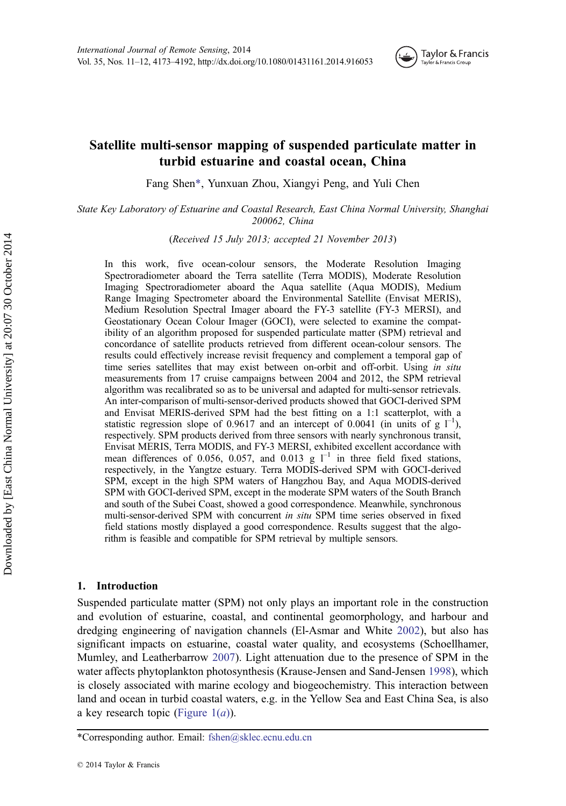

### Satellite multi-sensor mapping of suspended particulate matter in turbid estuarine and coastal ocean, China

Fang Shen\*, Yunxuan Zhou, Xiangyi Peng, and Yuli Chen

State Key Laboratory of Estuarine and Coastal Research, East China Normal University, Shanghai 200062, China

(Received 15 July 2013; accepted 21 November 2013)

In this work, five ocean-colour sensors, the Moderate Resolution Imaging Spectroradiometer aboard the Terra satellite (Terra MODIS), Moderate Resolution Imaging Spectroradiometer aboard the Aqua satellite (Aqua MODIS), Medium Range Imaging Spectrometer aboard the Environmental Satellite (Envisat MERIS), Medium Resolution Spectral Imager aboard the FY-3 satellite (FY-3 MERSI), and Geostationary Ocean Colour Imager (GOCI), were selected to examine the compatibility of an algorithm proposed for suspended particulate matter (SPM) retrieval and concordance of satellite products retrieved from different ocean-colour sensors. The results could effectively increase revisit frequency and complement a temporal gap of time series satellites that may exist between on-orbit and off-orbit. Using in situ measurements from 17 cruise campaigns between 2004 and 2012, the SPM retrieval algorithm was recalibrated so as to be universal and adapted for multi-sensor retrievals. An inter-comparison of multi-sensor-derived products showed that GOCI-derived SPM and Envisat MERIS-derived SPM had the best fitting on a 1:1 scatterplot, with a statistic regression slope of 0.9617 and an intercept of 0.0041 (in units of  $g \mid^{-1}$ ), respectively. SPM products derived from three sensors with nearly synchronous transit, Envisat MERIS, Terra MODIS, and FY-3 MERSI, exhibited excellent accordance with mean differences of 0.056, 0.057, and 0.013 g  $I^{-1}$  in three field fixed stations, respectively, in the Yangtze estuary. Terra MODIS-derived SPM with GOCI-derived SPM, except in the high SPM waters of Hangzhou Bay, and Aqua MODIS-derived SPM with GOCI-derived SPM, except in the moderate SPM waters of the South Branch and south of the Subei Coast, showed a good correspondence. Meanwhile, synchronous multi-sensor-derived SPM with concurrent in situ SPM time series observed in fixed field stations mostly displayed a good correspondence. Results suggest that the algorithm is feasible and compatible for SPM retrieval by multiple sensors.

#### 1. Introduction

Suspended particulate matter (SPM) not only plays an important role in the construction and evolution of estuarine, coastal, and continental geomorphology, and harbour and dredging engineering of navigation channels (El-Asmar and White [2002](#page-18-0)), but also has significant impacts on estuarine, coastal water quality, and ecosystems (Schoellhamer, Mumley, and Leatherbarrow [2007](#page-19-0)). Light attenuation due to the presence of SPM in the water affects phytoplankton photosynthesis (Krause-Jensen and Sand-Jensen [1998\)](#page-19-0), which is closely associated with marine ecology and biogeochemistry. This interaction between land and ocean in turbid coastal waters, e.g. in the Yellow Sea and East China Sea, is also a key research topic (Figure  $1(a)$ ).

<sup>\*</sup>Corresponding author. Email: fshen@sklec.ecnu.edu.cn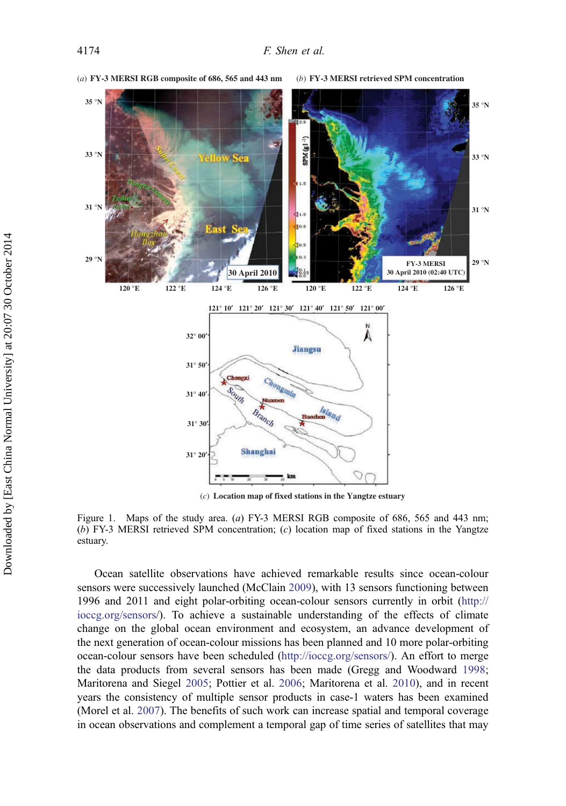<span id="page-2-0"></span>

Figure 1. Maps of the study area. (a) FY-3 MERSI RGB composite of 686, 565 and 443 nm; (b) FY-3 MERSI retrieved SPM concentration;  $(c)$  location map of fixed stations in the Yangtze estuary.

Ocean satellite observations have achieved remarkable results since ocean-colour sensors were successively launched (McClain [2009\)](#page-19-0), with 13 sensors functioning between 1996 and 2011 and eight polar-orbiting ocean-colour sensors currently in orbit [\(http://](http://ioccg.org/sensors) [ioccg.org/sensors](http://ioccg.org/sensors)/). To achieve a sustainable understanding of the effects of climate change on the global ocean environment and ecosystem, an advance development of the next generation of ocean-colour missions has been planned and 10 more polar-orbiting ocean-colour sensors have been scheduled [\(http://ioccg.org/sensors/](http://ioccg.org/sensors/)). An effort to merge the data products from several sensors has been made (Gregg and Woodward [1998](#page-18-0); Maritorena and Siegel [2005;](#page-19-0) Pottier et al. [2006](#page-19-0); Maritorena et al. [2010](#page-19-0)), and in recent years the consistency of multiple sensor products in case-1 waters has been examined (Morel et al. [2007\)](#page-19-0). The benefits of such work can increase spatial and temporal coverage in ocean observations and complement a temporal gap of time series of satellites that may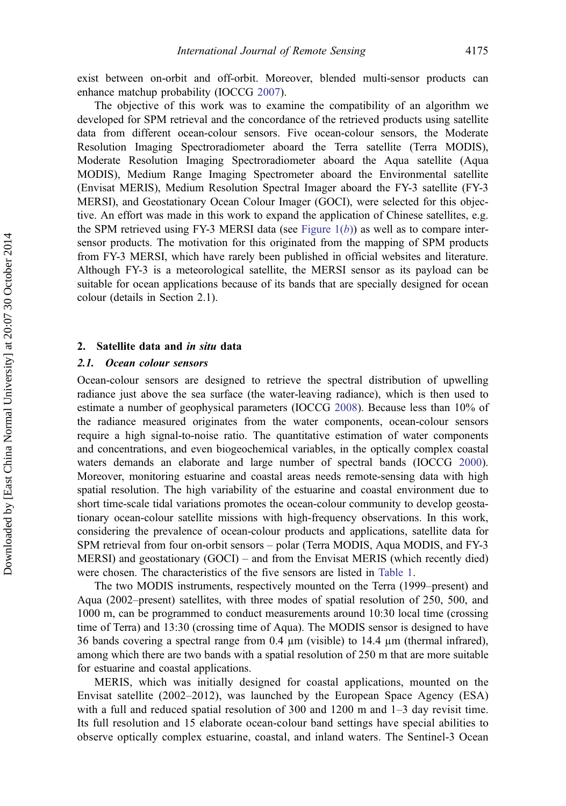exist between on-orbit and off-orbit. Moreover, blended multi-sensor products can enhance matchup probability (IOCCG [2007](#page-18-0)).

The objective of this work was to examine the compatibility of an algorithm we developed for SPM retrieval and the concordance of the retrieved products using satellite data from different ocean-colour sensors. Five ocean-colour sensors, the Moderate Resolution Imaging Spectroradiometer aboard the Terra satellite (Terra MODIS), Moderate Resolution Imaging Spectroradiometer aboard the Aqua satellite (Aqua MODIS), Medium Range Imaging Spectrometer aboard the Environmental satellite (Envisat MERIS), Medium Resolution Spectral Imager aboard the FY-3 satellite (FY-3 MERSI), and Geostationary Ocean Colour Imager (GOCI), were selected for this objective. An effort was made in this work to expand the application of Chinese satellites, e.g. the SPM retrieved using FY-3 MERSI data (see Figure  $1(b)$ ) as well as to compare intersensor products. The motivation for this originated from the mapping of SPM products from FY-3 MERSI, which have rarely been published in official websites and literature. Although FY-3 is a meteorological satellite, the MERSI sensor as its payload can be suitable for ocean applications because of its bands that are specially designed for ocean colour (details in Section 2.1).

#### 2. Satellite data and in situ data

#### 2.1. Ocean colour sensors

Ocean-colour sensors are designed to retrieve the spectral distribution of upwelling radiance just above the sea surface (the water-leaving radiance), which is then used to estimate a number of geophysical parameters (IOCCG [2008\)](#page-18-0). Because less than 10% of the radiance measured originates from the water components, ocean-colour sensors require a high signal-to-noise ratio. The quantitative estimation of water components and concentrations, and even biogeochemical variables, in the optically complex coastal waters demands an elaborate and large number of spectral bands (IOCCG [2000](#page-18-0)). Moreover, monitoring estuarine and coastal areas needs remote-sensing data with high spatial resolution. The high variability of the estuarine and coastal environment due to short time-scale tidal variations promotes the ocean-colour community to develop geostationary ocean-colour satellite missions with high-frequency observations. In this work, considering the prevalence of ocean-colour products and applications, satellite data for SPM retrieval from four on-orbit sensors – polar (Terra MODIS, Aqua MODIS, and FY-3 MERSI) and geostationary (GOCI) – and from the Envisat MERIS (which recently died) were chosen. The characteristics of the five sensors are listed in [Table 1.](#page-4-0)

The two MODIS instruments, respectively mounted on the Terra (1999–present) and Aqua (2002–present) satellites, with three modes of spatial resolution of 250, 500, and 1000 m, can be programmed to conduct measurements around 10:30 local time (crossing time of Terra) and 13:30 (crossing time of Aqua). The MODIS sensor is designed to have 36 bands covering a spectral range from 0.4 µm (visible) to 14.4 µm (thermal infrared), among which there are two bands with a spatial resolution of 250 m that are more suitable for estuarine and coastal applications.

MERIS, which was initially designed for coastal applications, mounted on the Envisat satellite (2002–2012), was launched by the European Space Agency (ESA) with a full and reduced spatial resolution of 300 and 1200 m and 1–3 day revisit time. Its full resolution and 15 elaborate ocean-colour band settings have special abilities to observe optically complex estuarine, coastal, and inland waters. The Sentinel-3 Ocean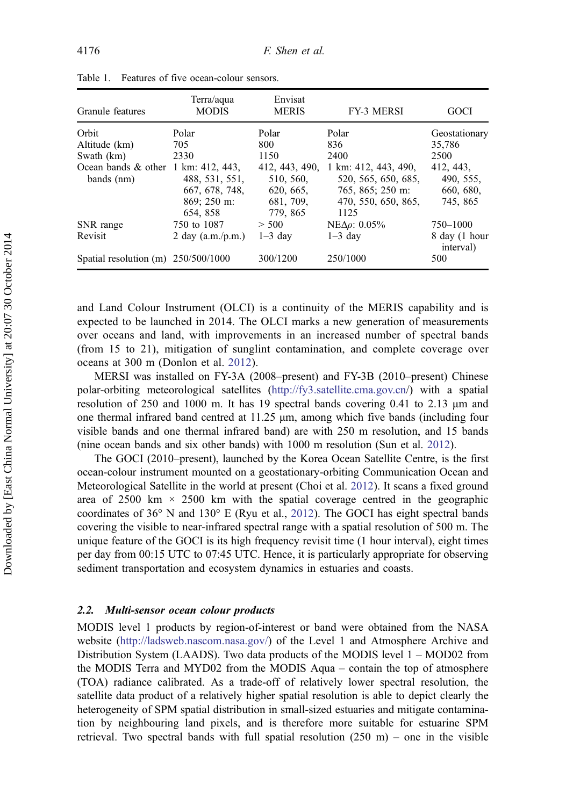| Granule features                      | Terra/aqua<br><b>MODIS</b> | Envisat<br><b>MERIS</b> | <b>FY-3 MERSI</b>      | GOCI                       |  |
|---------------------------------------|----------------------------|-------------------------|------------------------|----------------------------|--|
| Orbit                                 | Polar                      | Polar                   | Polar                  | Geostationary              |  |
| Altitude (km)                         | 705                        | 800                     | 836                    | 35,786                     |  |
| Swath (km)                            | 2330                       | 1150                    | 2400                   | 2500                       |  |
| Ocean bands $&$ other 1 km: 412, 443, |                            | 412, 443, 490,          | 1 km: 412, 443, 490,   | 412, 443,                  |  |
| bands $(nm)$                          | 488, 531, 551,             | 510, 560,               | 520, 565, 650, 685,    | 490, 555,                  |  |
|                                       | 667, 678, 748,             | 620, 665,               | 765, 865; 250 m:       | 660, 680,                  |  |
|                                       | 869: 250 m:                | 681, 709,               | 470, 550, 650, 865.    | 745, 865                   |  |
|                                       | 654, 858                   | 779, 865                | 1125                   |                            |  |
| SNR range                             | 750 to 1087                | > 500                   | $NE\Delta\rho$ : 0.05% | 750-1000                   |  |
| Revisit                               | 2 day $(a.m./p.m.)$        | $1-3$ day               | $1-3$ day              | 8 day (1 hour<br>interval) |  |
| Spatial resolution (m) $250/500/1000$ |                            | 300/1200                | 250/1000               | 500                        |  |

<span id="page-4-0"></span>Table 1. Features of five ocean-colour sensors.

and Land Colour Instrument (OLCI) is a continuity of the MERIS capability and is expected to be launched in 2014. The OLCI marks a new generation of measurements over oceans and land, with improvements in an increased number of spectral bands (from 15 to 21), mitigation of sunglint contamination, and complete coverage over oceans at 300 m (Donlon et al. [2012](#page-18-0)).

MERSI was installed on FY-3A (2008–present) and FY-3B (2010–present) Chinese polar-orbiting meteorological satellites (<http://fy3.satellite.cma.gov.cn>/) with a spatial resolution of 250 and 1000 m. It has 19 spectral bands covering 0.41 to 2.13 μm and one thermal infrared band centred at 11.25 μm, among which five bands (including four visible bands and one thermal infrared band) are with 250 m resolution, and 15 bands (nine ocean bands and six other bands) with 1000 m resolution (Sun et al. [2012](#page-19-0)).

The GOCI (2010–present), launched by the Korea Ocean Satellite Centre, is the first ocean-colour instrument mounted on a geostationary-orbiting Communication Ocean and Meteorological Satellite in the world at present (Choi et al. [2012\)](#page-18-0). It scans a fixed ground area of 2500 km  $\times$  2500 km with the spatial coverage centred in the geographic coordinates of 36° N and 130° E (Ryu et al., [2012\)](#page-19-0). The GOCI has eight spectral bands covering the visible to near-infrared spectral range with a spatial resolution of 500 m. The unique feature of the GOCI is its high frequency revisit time (1 hour interval), eight times per day from 00:15 UTC to 07:45 UTC. Hence, it is particularly appropriate for observing sediment transportation and ecosystem dynamics in estuaries and coasts.

#### 2.2. Multi-sensor ocean colour products

MODIS level 1 products by region-of-interest or band were obtained from the NASA website ([http://ladsweb.nascom.nasa.gov/\)](http://ladsweb.nascom.nasa.gov/) of the Level 1 and Atmosphere Archive and Distribution System (LAADS). Two data products of the MODIS level 1 – MOD02 from the MODIS Terra and MYD02 from the MODIS Aqua – contain the top of atmosphere (TOA) radiance calibrated. As a trade-off of relatively lower spectral resolution, the satellite data product of a relatively higher spatial resolution is able to depict clearly the heterogeneity of SPM spatial distribution in small-sized estuaries and mitigate contamination by neighbouring land pixels, and is therefore more suitable for estuarine SPM retrieval. Two spectral bands with full spatial resolution  $(250 \text{ m})$  – one in the visible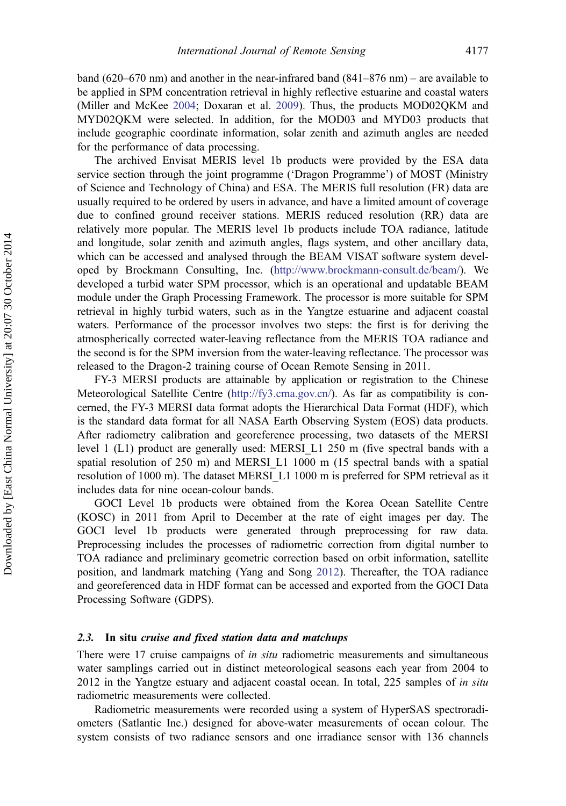band (620–670 nm) and another in the near-infrared band (841–876 nm) – are available to be applied in SPM concentration retrieval in highly reflective estuarine and coastal waters (Miller and McKee [2004;](#page-19-0) Doxaran et al. [2009\)](#page-18-0). Thus, the products MOD02QKM and MYD02QKM were selected. In addition, for the MOD03 and MYD03 products that include geographic coordinate information, solar zenith and azimuth angles are needed for the performance of data processing.

The archived Envisat MERIS level 1b products were provided by the ESA data service section through the joint programme ('Dragon Programme') of MOST (Ministry of Science and Technology of China) and ESA. The MERIS full resolution (FR) data are usually required to be ordered by users in advance, and have a limited amount of coverage due to confined ground receiver stations. MERIS reduced resolution (RR) data are relatively more popular. The MERIS level 1b products include TOA radiance, latitude and longitude, solar zenith and azimuth angles, flags system, and other ancillary data, which can be accessed and analysed through the BEAM VISAT software system developed by Brockmann Consulting, Inc. ([http://www.brockmann-consult.de/beam/\)](http://www.brockmann-consult.de/beam/). We developed a turbid water SPM processor, which is an operational and updatable BEAM module under the Graph Processing Framework. The processor is more suitable for SPM retrieval in highly turbid waters, such as in the Yangtze estuarine and adjacent coastal waters. Performance of the processor involves two steps: the first is for deriving the atmospherically corrected water-leaving reflectance from the MERIS TOA radiance and the second is for the SPM inversion from the water-leaving reflectance. The processor was released to the Dragon-2 training course of Ocean Remote Sensing in 2011.

FY-3 MERSI products are attainable by application or registration to the Chinese Meteorological Satellite Centre ([http://fy3.cma.gov.cn/\)](http://fy3.cma.gov.cn/). As far as compatibility is concerned, the FY-3 MERSI data format adopts the Hierarchical Data Format (HDF), which is the standard data format for all NASA Earth Observing System (EOS) data products. After radiometry calibration and georeference processing, two datasets of the MERSI level 1 (L1) product are generally used: MERSI\_L1 250 m (five spectral bands with a spatial resolution of 250 m) and MERSI\_L1 1000 m (15 spectral bands with a spatial resolution of 1000 m). The dataset MERSI\_L1 1000 m is preferred for SPM retrieval as it includes data for nine ocean-colour bands.

GOCI Level 1b products were obtained from the Korea Ocean Satellite Centre (KOSC) in 2011 from April to December at the rate of eight images per day. The GOCI level 1b products were generated through preprocessing for raw data. Preprocessing includes the processes of radiometric correction from digital number to TOA radiance and preliminary geometric correction based on orbit information, satellite position, and landmark matching (Yang and Song [2012\)](#page-20-0). Thereafter, the TOA radiance and georeferenced data in HDF format can be accessed and exported from the GOCI Data Processing Software (GDPS).

#### 2.3. In situ cruise and fixed station data and matchups

There were 17 cruise campaigns of *in situ* radiometric measurements and simultaneous water samplings carried out in distinct meteorological seasons each year from 2004 to 2012 in the Yangtze estuary and adjacent coastal ocean. In total, 225 samples of *in situ* radiometric measurements were collected.

Radiometric measurements were recorded using a system of HyperSAS spectroradiometers (Satlantic Inc.) designed for above-water measurements of ocean colour. The system consists of two radiance sensors and one irradiance sensor with 136 channels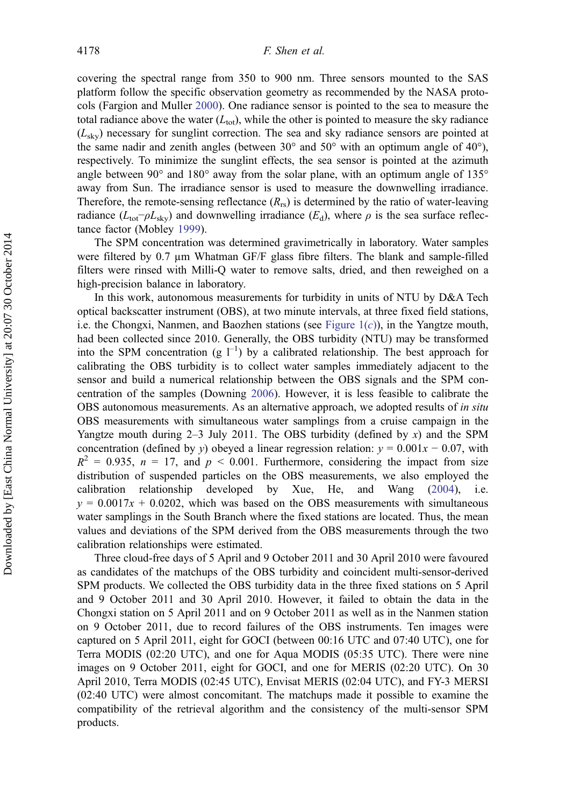covering the spectral range from 350 to 900 nm. Three sensors mounted to the SAS platform follow the specific observation geometry as recommended by the NASA protocols (Fargion and Muller [2000](#page-18-0)). One radiance sensor is pointed to the sea to measure the total radiance above the water  $(L_{\text{tot}})$ , while the other is pointed to measure the sky radiance  $(L_{\text{sky}})$  necessary for sunglint correction. The sea and sky radiance sensors are pointed at the same nadir and zenith angles (between  $30^{\circ}$  and  $50^{\circ}$  with an optimum angle of  $40^{\circ}$ ), respectively. To minimize the sunglint effects, the sea sensor is pointed at the azimuth angle between  $90^{\circ}$  and  $180^{\circ}$  away from the solar plane, with an optimum angle of  $135^{\circ}$ away from Sun. The irradiance sensor is used to measure the downwelling irradiance. Therefore, the remote-sensing reflectance  $(R_{rs})$  is determined by the ratio of water-leaving radiance ( $L_{\text{tot}}-\rho L_{\text{sky}}$ ) and downwelling irradiance ( $E_{\text{d}}$ ), where  $\rho$  is the sea surface reflectance factor (Mobley [1999\)](#page-19-0).

The SPM concentration was determined gravimetrically in laboratory. Water samples were filtered by 0.7  $\mu$ m Whatman GF/F glass fibre filters. The blank and sample-filled filters were rinsed with Milli-Q water to remove salts, dried, and then reweighed on a high-precision balance in laboratory.

In this work, autonomous measurements for turbidity in units of NTU by D&A Tech optical backscatter instrument (OBS), at two minute intervals, at three fixed field stations, i.e. the Chongxi, Nanmen, and Baozhen stations (see Figure  $1(c)$ ), in the Yangtze mouth, had been collected since 2010. Generally, the OBS turbidity (NTU) may be transformed into the SPM concentration (g  $1^{-1}$ ) by a calibrated relationship. The best approach for calibrating the OBS turbidity is to collect water samples immediately adjacent to the sensor and build a numerical relationship between the OBS signals and the SPM concentration of the samples (Downing [2006\)](#page-18-0). However, it is less feasible to calibrate the OBS autonomous measurements. As an alternative approach, we adopted results of *in situ* OBS measurements with simultaneous water samplings from a cruise campaign in the Yangtze mouth during  $2-3$  July 2011. The OBS turbidity (defined by x) and the SPM concentration (defined by y) obeyed a linear regression relation:  $y = 0.001x - 0.07$ , with  $R^2 = 0.935$ ,  $n = 17$ , and  $p < 0.001$ . Furthermore, considering the impact from size distribution of suspended particles on the OBS measurements, we also employed the calibration relationship developed by Xue, He, and Wang [\(2004](#page-20-0)), i.e.  $y = 0.0017x + 0.0202$ , which was based on the OBS measurements with simultaneous water samplings in the South Branch where the fixed stations are located. Thus, the mean values and deviations of the SPM derived from the OBS measurements through the two calibration relationships were estimated.

Three cloud-free days of 5 April and 9 October 2011 and 30 April 2010 were favoured as candidates of the matchups of the OBS turbidity and coincident multi-sensor-derived SPM products. We collected the OBS turbidity data in the three fixed stations on 5 April and 9 October 2011 and 30 April 2010. However, it failed to obtain the data in the Chongxi station on 5 April 2011 and on 9 October 2011 as well as in the Nanmen station on 9 October 2011, due to record failures of the OBS instruments. Ten images were captured on 5 April 2011, eight for GOCI (between 00:16 UTC and 07:40 UTC), one for Terra MODIS (02:20 UTC), and one for Aqua MODIS (05:35 UTC). There were nine images on 9 October 2011, eight for GOCI, and one for MERIS (02:20 UTC). On 30 April 2010, Terra MODIS (02:45 UTC), Envisat MERIS (02:04 UTC), and FY-3 MERSI (02:40 UTC) were almost concomitant. The matchups made it possible to examine the compatibility of the retrieval algorithm and the consistency of the multi-sensor SPM products.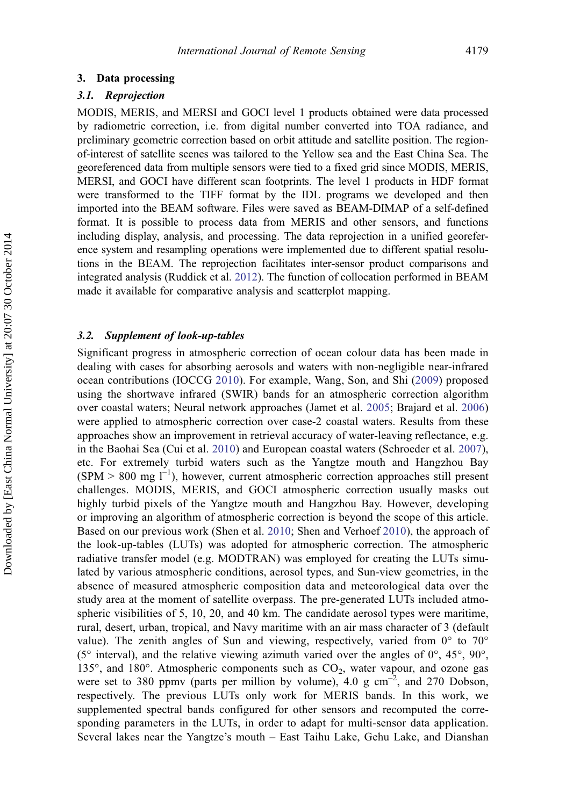#### 3. Data processing

#### 3.1. Reprojection

MODIS, MERIS, and MERSI and GOCI level 1 products obtained were data processed by radiometric correction, i.e. from digital number converted into TOA radiance, and preliminary geometric correction based on orbit attitude and satellite position. The regionof-interest of satellite scenes was tailored to the Yellow sea and the East China Sea. The georeferenced data from multiple sensors were tied to a fixed grid since MODIS, MERIS, MERSI, and GOCI have different scan footprints. The level 1 products in HDF format were transformed to the TIFF format by the IDL programs we developed and then imported into the BEAM software. Files were saved as BEAM-DIMAP of a self-defined format. It is possible to process data from MERIS and other sensors, and functions including display, analysis, and processing. The data reprojection in a unified georeference system and resampling operations were implemented due to different spatial resolutions in the BEAM. The reprojection facilitates inter-sensor product comparisons and integrated analysis (Ruddick et al. [2012\)](#page-19-0). The function of collocation performed in BEAM made it available for comparative analysis and scatterplot mapping.

#### 3.2. Supplement of look-up-tables

Significant progress in atmospheric correction of ocean colour data has been made in dealing with cases for absorbing aerosols and waters with non-negligible near-infrared ocean contributions (IOCCG [2010](#page-18-0)). For example, Wang, Son, and Shi [\(2009\)](#page-19-0) proposed using the shortwave infrared (SWIR) bands for an atmospheric correction algorithm over coastal waters; Neural network approaches (Jamet et al. [2005](#page-18-0); Brajard et al. [2006\)](#page-18-0) were applied to atmospheric correction over case-2 coastal waters. Results from these approaches show an improvement in retrieval accuracy of water-leaving reflectance, e.g. in the Baohai Sea (Cui et al. [2010](#page-18-0)) and European coastal waters (Schroeder et al. [2007](#page-19-0)), etc. For extremely turbid waters such as the Yangtze mouth and Hangzhou Bay  $(SPM > 800$  mg  $I^{-1}$ ), however, current atmospheric correction approaches still present challenges. MODIS, MERIS, and GOCI atmospheric correction usually masks out highly turbid pixels of the Yangtze mouth and Hangzhou Bay. However, developing or improving an algorithm of atmospheric correction is beyond the scope of this article. Based on our previous work (Shen et al. [2010;](#page-19-0) Shen and Verhoef [2010](#page-19-0)), the approach of the look-up-tables (LUTs) was adopted for atmospheric correction. The atmospheric radiative transfer model (e.g. MODTRAN) was employed for creating the LUTs simulated by various atmospheric conditions, aerosol types, and Sun-view geometries, in the absence of measured atmospheric composition data and meteorological data over the study area at the moment of satellite overpass. The pre-generated LUTs included atmospheric visibilities of 5, 10, 20, and 40 km. The candidate aerosol types were maritime, rural, desert, urban, tropical, and Navy maritime with an air mass character of 3 (default value). The zenith angles of Sun and viewing, respectively, varied from  $0^{\circ}$  to  $70^{\circ}$ (5 $\degree$  interval), and the relative viewing azimuth varied over the angles of  $0\degree$ , 45 $\degree$ , 90 $\degree$ , 135 $^{\circ}$ , and 180 $^{\circ}$ . Atmospheric components such as  $CO<sub>2</sub>$ , water vapour, and ozone gas were set to 380 ppmv (parts per million by volume), 4.0 g  $cm^{-2}$ , and 270 Dobson, respectively. The previous LUTs only work for MERIS bands. In this work, we supplemented spectral bands configured for other sensors and recomputed the corresponding parameters in the LUTs, in order to adapt for multi-sensor data application. Several lakes near the Yangtze's mouth – East Taihu Lake, Gehu Lake, and Dianshan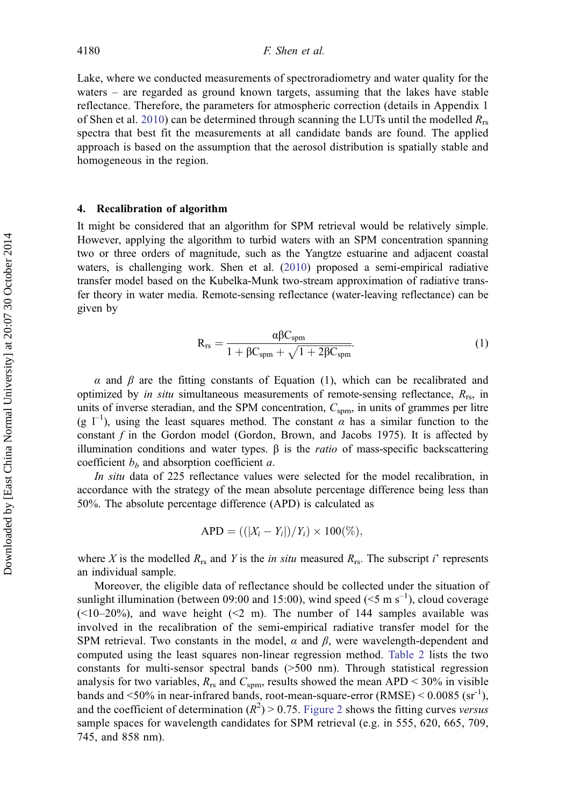Lake, where we conducted measurements of spectroradiometry and water quality for the waters – are regarded as ground known targets, assuming that the lakes have stable reflectance. Therefore, the parameters for atmospheric correction (details in Appendix 1 of Shen et al. [2010](#page-19-0)) can be determined through scanning the LUTs until the modelled  $R_{rs}$ spectra that best fit the measurements at all candidate bands are found. The applied approach is based on the assumption that the aerosol distribution is spatially stable and homogeneous in the region.

#### 4. Recalibration of algorithm

It might be considered that an algorithm for SPM retrieval would be relatively simple. However, applying the algorithm to turbid waters with an SPM concentration spanning two or three orders of magnitude, such as the Yangtze estuarine and adjacent coastal waters, is challenging work. Shen et al. ([2010\)](#page-19-0) proposed a semi-empirical radiative transfer model based on the Kubelka-Munk two-stream approximation of radiative transfer theory in water media. Remote-sensing reflectance (water-leaving reflectance) can be given by

$$
R_{rs} = \frac{\alpha \beta C_{spm}}{1 + \beta C_{spm} + \sqrt{1 + 2\beta C_{spm}}}.
$$
\n(1)

 $\alpha$  and  $\beta$  are the fitting constants of Equation (1), which can be recalibrated and optimized by *in situ* simultaneous measurements of remote-sensing reflectance,  $R_{rs}$ , in units of inverse steradian, and the SPM concentration,  $C_{\text{spm}}$ , in units of grammes per litre (g  $1^{-1}$ ), using the least squares method. The constant  $\alpha$  has a similar function to the constant  $f$  in the Gordon model (Gordon, Brown, and Jacobs 1975). It is affected by illumination conditions and water types.  $β$  is the *ratio* of mass-specific backscattering coefficient  $b<sub>b</sub>$  and absorption coefficient a.

In situ data of 225 reflectance values were selected for the model recalibration, in accordance with the strategy of the mean absolute percentage difference being less than 50%. The absolute percentage difference (APD) is calculated as

$$
\text{APD} = ((|X_i - Y_i|)/Y_i) \times 100\%,
$$

where X is the modelled  $R_{rs}$  and Y is the *in situ* measured  $R_{rs}$ . The subscript *i*' represents an individual sample.

Moreover, the eligible data of reflectance should be collected under the situation of sunlight illumination (between 09:00 and 15:00), wind speed ( $\leq 5$  m s<sup>-1</sup>), cloud coverage  $(\leq 10-20\%)$ , and wave height  $(\leq 2 \text{ m})$ . The number of 144 samples available was involved in the recalibration of the semi-empirical radiative transfer model for the SPM retrieval. Two constants in the model,  $\alpha$  and  $\beta$ , were wavelength-dependent and computed using the least squares non-linear regression method. [Table 2](#page-9-0) lists the two constants for multi-sensor spectral bands (>500 nm). Through statistical regression analysis for two variables,  $R_{rs}$  and  $C_{spm}$ , results showed the mean APD < 30% in visible bands and  $\leq 50\%$  in near-infrared bands, root-mean-square-error (RMSE)  $\leq 0.0085$  (sr<sup>-1</sup>), and the coefficient of determination  $(R^2) > 0.75$ . [Figure 2](#page-9-0) shows the fitting curves versus sample spaces for wavelength candidates for SPM retrieval (e.g. in 555, 620, 665, 709, 745, and 858 nm).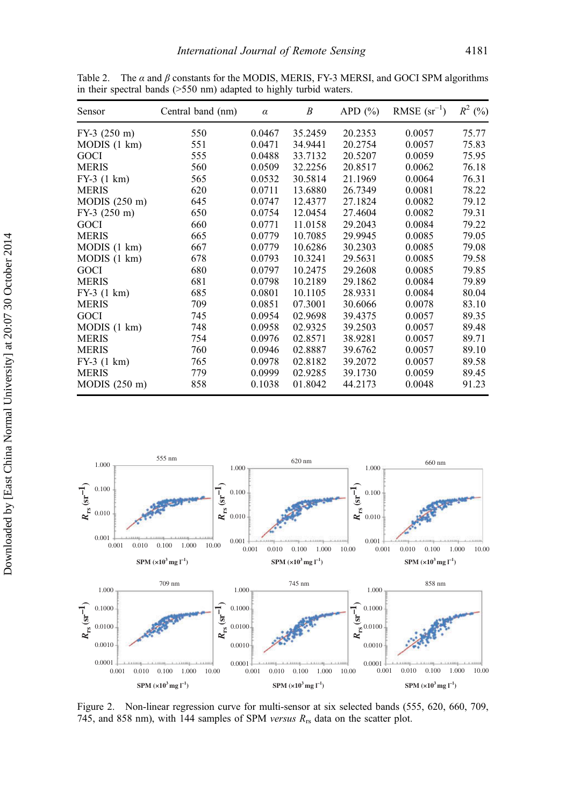| Sensor          | Central band (nm) | $\alpha$ | Β       | APD $(\% )$ | RMSE $(sr^{-1})$ | $R^2$ (%) |
|-----------------|-------------------|----------|---------|-------------|------------------|-----------|
| $FY-3$ (250 m)  | 550               | 0.0467   | 35.2459 | 20.2353     | 0.0057           | 75.77     |
| MODIS(1 km)     | 551               | 0.0471   | 34.9441 | 20.2754     | 0.0057           | 75.83     |
| GOCI            | 555               | 0.0488   | 33.7132 | 20.5207     | 0.0059           | 75.95     |
| <b>MERIS</b>    | 560               | 0.0509   | 32.2256 | 20.8517     | 0.0062           | 76.18     |
| $FY-3$ (1 km)   | 565               | 0.0532   | 30.5814 | 21.1969     | 0.0064           | 76.31     |
| <b>MERIS</b>    | 620               | 0.0711   | 13.6880 | 26.7349     | 0.0081           | 78.22     |
| $MODIS$ (250 m) | 645               | 0.0747   | 12.4377 | 27.1824     | 0.0082           | 79.12     |
| $FY-3$ (250 m)  | 650               | 0.0754   | 12.0454 | 27.4604     | 0.0082           | 79.31     |
| GOCI            | 660               | 0.0771   | 11.0158 | 29.2043     | 0.0084           | 79.22     |
| <b>MERIS</b>    | 665               | 0.0779   | 10.7085 | 29.9945     | 0.0085           | 79.05     |
| MODIS(1 km)     | 667               | 0.0779   | 10.6286 | 30.2303     | 0.0085           | 79.08     |
| MODIS(1 km)     | 678               | 0.0793   | 10.3241 | 29.5631     | 0.0085           | 79.58     |
| GOCI            | 680               | 0.0797   | 10.2475 | 29.2608     | 0.0085           | 79.85     |
| <b>MERIS</b>    | 681               | 0.0798   | 10.2189 | 29.1862     | 0.0084           | 79.89     |
| $FY-3$ (1 km)   | 685               | 0.0801   | 10.1105 | 28.9331     | 0.0084           | 80.04     |
| <b>MERIS</b>    | 709               | 0.0851   | 07.3001 | 30.6066     | 0.0078           | 83.10     |
| GOCI            | 745               | 0.0954   | 02.9698 | 39.4375     | 0.0057           | 89.35     |
| MODIS(1 km)     | 748               | 0.0958   | 02.9325 | 39.2503     | 0.0057           | 89.48     |
| <b>MERIS</b>    | 754               | 0.0976   | 02.8571 | 38.9281     | 0.0057           | 89.71     |
| <b>MERIS</b>    | 760               | 0.0946   | 02.8887 | 39.6762     | 0.0057           | 89.10     |
| $FY-3(1 km)$    | 765               | 0.0978   | 02.8182 | 39.2072     | 0.0057           | 89.58     |
| <b>MERIS</b>    | 779               | 0.0999   | 02.9285 | 39.1730     | 0.0059           | 89.45     |
| $MODIS$ (250 m) | 858               | 0.1038   | 01.8042 | 44.2173     | 0.0048           | 91.23     |

<span id="page-9-0"></span>Table 2. The  $\alpha$  and  $\beta$  constants for the MODIS, MERIS, FY-3 MERSI, and GOCI SPM algorithms in their spectral bands (>550 nm) adapted to highly turbid waters.



Figure 2. Non-linear regression curve for multi-sensor at six selected bands (555, 620, 660, 709, 745, and 858 nm), with 144 samples of SPM versus  $R_{rs}$  data on the scatter plot.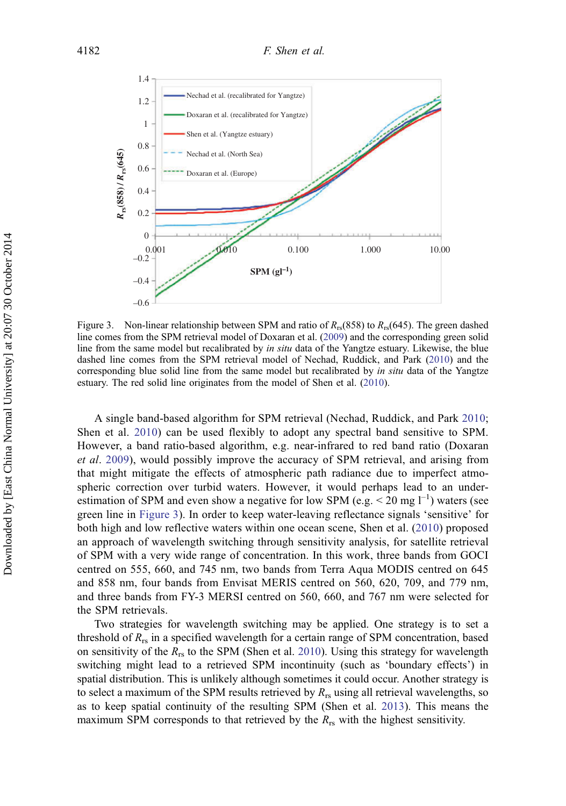<span id="page-10-0"></span>

Figure 3. Non-linear relationship between SPM and ratio of  $R_{rs}(858)$  to  $R_{rs}(645)$ . The green dashed line comes from the SPM retrieval model of Doxaran et al. ([2009\)](#page-18-0) and the corresponding green solid line from the same model but recalibrated by in situ data of the Yangtze estuary. Likewise, the blue dashed line comes from the SPM retrieval model of Nechad, Ruddick, and Park [\(2010](#page-19-0)) and the corresponding blue solid line from the same model but recalibrated by in situ data of the Yangtze estuary. The red solid line originates from the model of Shen et al. ([2010\)](#page-19-0).

A single band-based algorithm for SPM retrieval (Nechad, Ruddick, and Park [2010](#page-19-0); Shen et al. [2010](#page-19-0)) can be used flexibly to adopt any spectral band sensitive to SPM. However, a band ratio-based algorithm, e.g. near-infrared to red band ratio (Doxaran et al. [2009\)](#page-19-0), would possibly improve the accuracy of SPM retrieval, and arising from that might mitigate the effects of atmospheric path radiance due to imperfect atmospheric correction over turbid waters. However, it would perhaps lead to an underestimation of SPM and even show a negative for low SPM (e.g.  $\leq$  20 mg l<sup>-1</sup>) waters (see green line in Figure 3). In order to keep water-leaving reflectance signals 'sensitive' for both high and low reflective waters within one ocean scene, Shen et al. [\(2010\)](#page-19-0) proposed an approach of wavelength switching through sensitivity analysis, for satellite retrieval of SPM with a very wide range of concentration. In this work, three bands from GOCI centred on 555, 660, and 745 nm, two bands from Terra Aqua MODIS centred on 645 and 858 nm, four bands from Envisat MERIS centred on 560, 620, 709, and 779 nm, and three bands from FY-3 MERSI centred on 560, 660, and 767 nm were selected for the SPM retrievals.

Two strategies for wavelength switching may be applied. One strategy is to set a threshold of  $R_{rs}$  in a specified wavelength for a certain range of SPM concentration, based on sensitivity of the  $R_{rs}$  to the SPM (Shen et al. [2010\)](#page-19-0). Using this strategy for wavelength switching might lead to a retrieved SPM incontinuity (such as 'boundary effects') in spatial distribution. This is unlikely although sometimes it could occur. Another strategy is to select a maximum of the SPM results retrieved by  $R_{rs}$  using all retrieval wavelengths, so as to keep spatial continuity of the resulting SPM (Shen et al. [2013\)](#page-19-0). This means the maximum SPM corresponds to that retrieved by the  $R_{rs}$  with the highest sensitivity.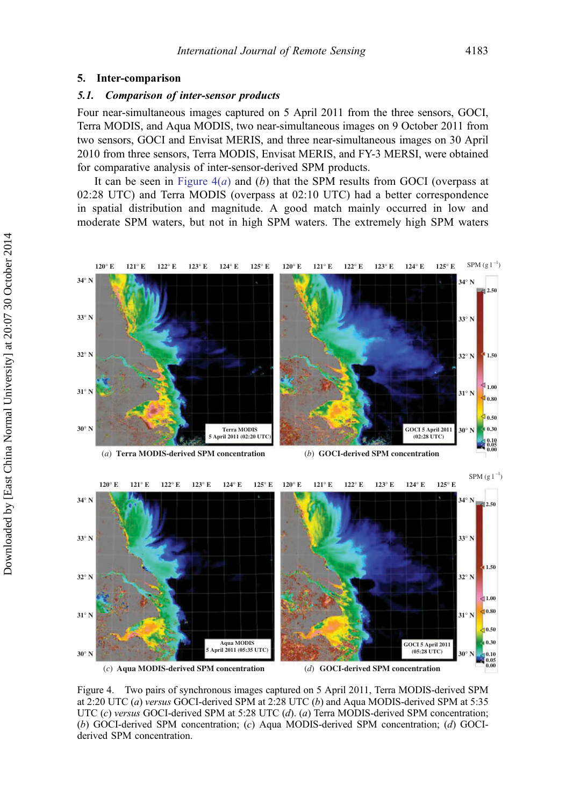#### <span id="page-11-0"></span>5. Inter-comparison

#### 5.1. Comparison of inter-sensor products

Four near-simultaneous images captured on 5 April 2011 from the three sensors, GOCI, Terra MODIS, and Aqua MODIS, two near-simultaneous images on 9 October 2011 from two sensors, GOCI and Envisat MERIS, and three near-simultaneous images on 30 April 2010 from three sensors, Terra MODIS, Envisat MERIS, and FY-3 MERSI, were obtained for comparative analysis of inter-sensor-derived SPM products.

It can be seen in Figure  $4(a)$  and (b) that the SPM results from GOCI (overpass at 02:28 UTC) and Terra MODIS (overpass at 02:10 UTC) had a better correspondence in spatial distribution and magnitude. A good match mainly occurred in low and moderate SPM waters, but not in high SPM waters. The extremely high SPM waters



Figure 4. Two pairs of synchronous images captured on 5 April 2011, Terra MODIS-derived SPM at 2:20 UTC (a) versus GOCI-derived SPM at 2:28 UTC (b) and Aqua MODIS-derived SPM at 5:35 UTC (c) versus GOCI-derived SPM at 5:28 UTC (d). (a) Terra MODIS-derived SPM concentration; (b) GOCI-derived SPM concentration; (c) Aqua MODIS-derived SPM concentration; (d) GOCIderived SPM concentration.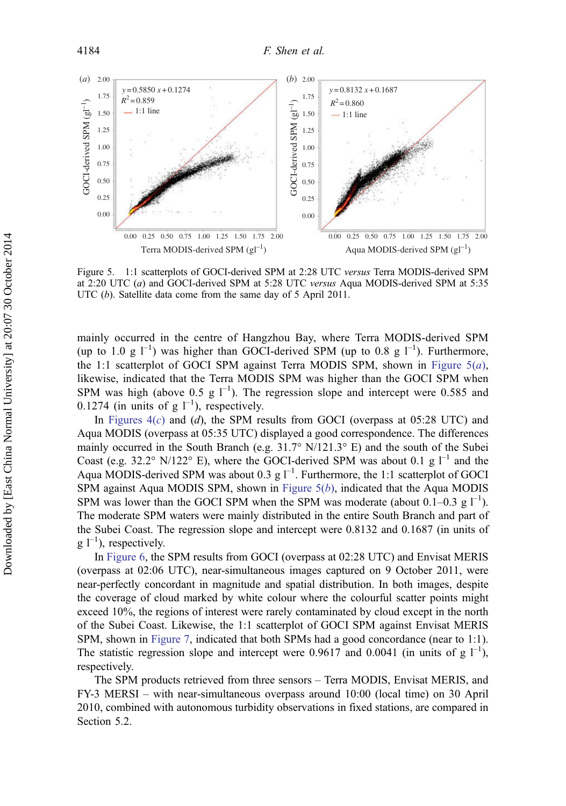<span id="page-12-0"></span>

Figure 5. 1:1 scatterplots of GOCI-derived SPM at 2:28 UTC versus Terra MODIS-derived SPM at 2:20 UTC (a) and GOCI-derived SPM at 5:28 UTC versus Aqua MODIS-derived SPM at 5:35 UTC (b). Satellite data come from the same day of 5 April 2011.

mainly occurred in the centre of Hangzhou Bay, where Terra MODIS-derived SPM (up to 1.0 g  $\Gamma^{-1}$ ) was higher than GOCI-derived SPM (up to 0.8 g  $\Gamma^{-1}$ ). Furthermore, the 1:1 scatterplot of GOCI SPM against Terra MODIS SPM, shown in Figure  $5(a)$ , likewise, indicated that the Terra MODIS SPM was higher than the GOCI SPM when SPM was high (above 0.5 g  $1^{-1}$ ). The regression slope and intercept were 0.585 and 0.1274 (in units of  $g l^{-1}$ ), respectively.

In Figures  $4(c)$  and  $(d)$ , the SPM results from GOCI (overpass at 05:28 UTC) and Aqua MODIS (overpass at 05:35 UTC) displayed a good correspondence. The differences mainly occurred in the South Branch (e.g.  $31.7^{\circ}$  N/121.3° E) and the south of the Subei Coast (e.g. 32.2° N/122° E), where the GOCI-derived SPM was about 0.1 g  $1^{-1}$  and the Aqua MODIS-derived SPM was about 0.3 g  $1^{-1}$ . Furthermore, the 1:1 scatterplot of GOCI SPM against Aqua MODIS SPM, shown in Figure  $5(b)$ , indicated that the Aqua MODIS SPM was lower than the GOCI SPM when the SPM was moderate (about  $0.1-0.3$  g  $1^{-1}$ ). The moderate SPM waters were mainly distributed in the entire South Branch and part of the Subei Coast. The regression slope and intercept were 0.8132 and 0.1687 (in units of  $g \, l^{-1}$ ), respectively.

In [Figure 6](#page-13-0), the SPM results from GOCI (overpass at 02:28 UTC) and Envisat MERIS (overpass at 02:06 UTC), near-simultaneous images captured on 9 October 2011, were near-perfectly concordant in magnitude and spatial distribution. In both images, despite the coverage of cloud marked by white colour where the colourful scatter points might exceed 10%, the regions of interest were rarely contaminated by cloud except in the north of the Subei Coast. Likewise, the 1:1 scatterplot of GOCI SPM against Envisat MERIS SPM, shown in [Figure 7](#page-13-0), indicated that both SPMs had a good concordance (near to 1:1). The statistic regression slope and intercept were 0.9617 and 0.0041 (in units of g  $1^{-1}$ ), respectively.

The SPM products retrieved from three sensors – Terra MODIS, Envisat MERIS, and FY-3 MERSI – with near-simultaneous overpass around 10:00 (local time) on 30 April 2010, combined with autonomous turbidity observations in fixed stations, are compared in Section 5.2.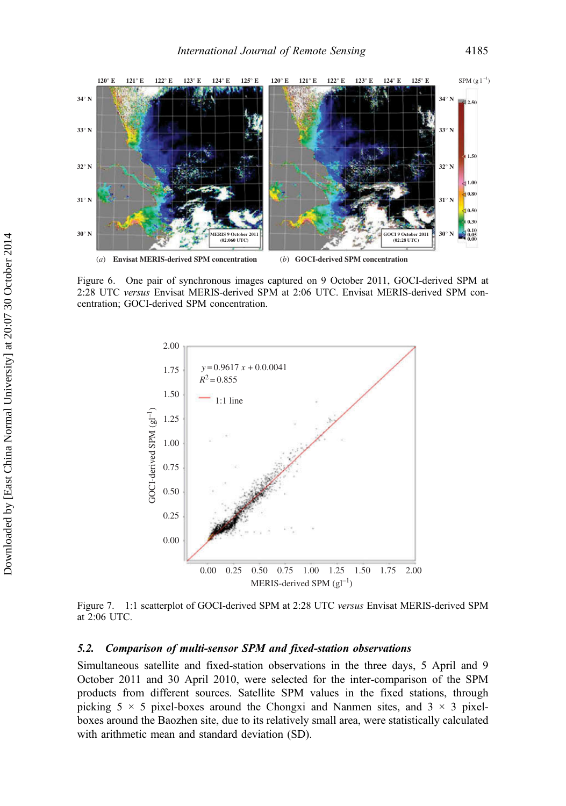<span id="page-13-0"></span>

Figure 6. One pair of synchronous images captured on 9 October 2011, GOCI-derived SPM at 2:28 UTC versus Envisat MERIS-derived SPM at 2:06 UTC. Envisat MERIS-derived SPM concentration; GOCI-derived SPM concentration.



Figure 7. 1:1 scatterplot of GOCI-derived SPM at 2:28 UTC versus Envisat MERIS-derived SPM at 2:06 UTC.

#### 5.2. Comparison of multi-sensor SPM and fixed-station observations

Simultaneous satellite and fixed-station observations in the three days, 5 April and 9 October 2011 and 30 April 2010, were selected for the inter-comparison of the SPM products from different sources. Satellite SPM values in the fixed stations, through picking  $5 \times 5$  pixel-boxes around the Chongxi and Nanmen sites, and  $3 \times 3$  pixelboxes around the Baozhen site, due to its relatively small area, were statistically calculated with arithmetic mean and standard deviation (SD).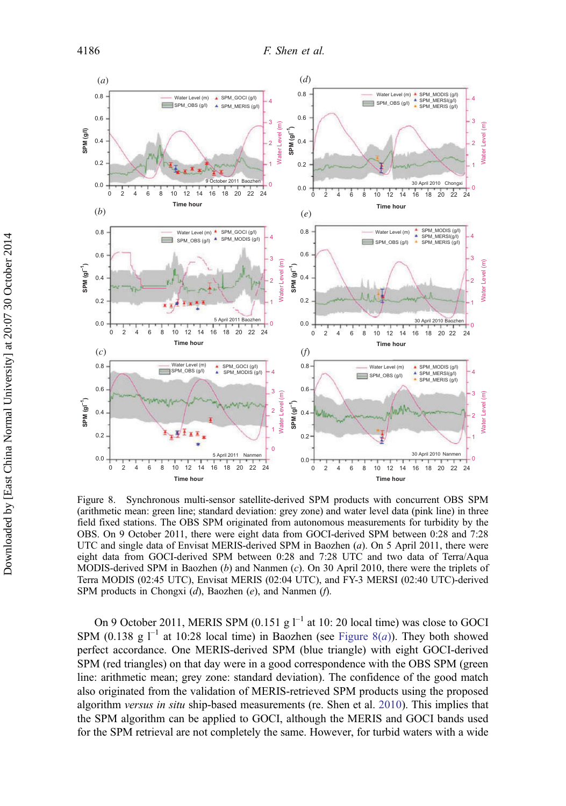<span id="page-14-0"></span>

Figure 8. Synchronous multi-sensor satellite-derived SPM products with concurrent OBS SPM (arithmetic mean: green line; standard deviation: grey zone) and water level data (pink line) in three field fixed stations. The OBS SPM originated from autonomous measurements for turbidity by the OBS. On 9 October 2011, there were eight data from GOCI-derived SPM between 0:28 and 7:28 UTC and single data of Envisat MERIS-derived SPM in Baozhen (a). On 5 April 2011, there were eight data from GOCI-derived SPM between 0:28 and 7:28 UTC and two data of Terra/Aqua MODIS-derived SPM in Baozhen  $(b)$  and Nanmen  $(c)$ . On 30 April 2010, there were the triplets of Terra MODIS (02:45 UTC), Envisat MERIS (02:04 UTC), and FY-3 MERSI (02:40 UTC)-derived SPM products in Chongxi (d), Baozhen (e), and Nanmen (f).

On 9 October 2011, MERIS SPM  $(0.151 \text{ g}^{-1})$  at 10: 20 local time) was close to GOCI SPM (0.138 g  $\Gamma^1$  at 10:28 local time) in Baozhen (see Figure 8(*a*)). They both showed perfect accordance. One MERIS-derived SPM (blue triangle) with eight GOCI-derived SPM (red triangles) on that day were in a good correspondence with the OBS SPM (green line: arithmetic mean; grey zone: standard deviation). The confidence of the good match also originated from the validation of MERIS-retrieved SPM products using the proposed algorithm versus in situ ship-based measurements (re. Shen et al. [2010](#page-19-0)). This implies that the SPM algorithm can be applied to GOCI, although the MERIS and GOCI bands used for the SPM retrieval are not completely the same. However, for turbid waters with a wide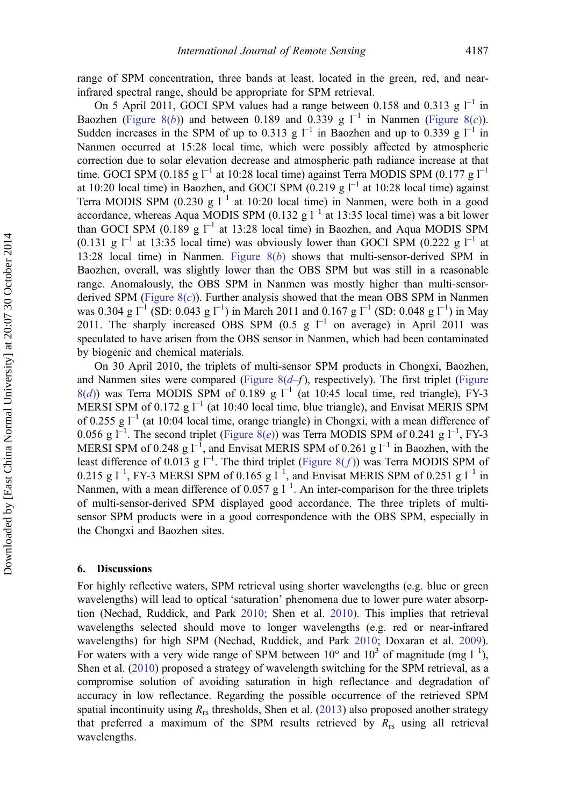range of SPM concentration, three bands at least, located in the green, red, and nearinfrared spectral range, should be appropriate for SPM retrieval.

On 5 April 2011, GOCI SPM values had a range between 0.158 and 0.313 g  $1^{-1}$  in Baozhen ([Figure 8\(](#page-14-0)b)) and between 0.189 and 0.339 g  $l^{-1}$  in Nanmen (Figure 8(c)). Sudden increases in the SPM of up to 0.313 g  $l^{-1}$  in Baozhen and up to 0.339 g  $l^{-1}$  in Nanmen occurred at 15:28 local time, which were possibly affected by atmospheric correction due to solar elevation decrease and atmospheric path radiance increase at that time. GOCI SPM (0.185 g  $I^{-1}$  at 10:28 local time) against Terra MODIS SPM (0.177 g  $I^{-1}$ at 10:20 local time) in Baozhen, and GOCI SPM (0.219 g  $l^{-1}$  at 10:28 local time) against Terra MODIS SPM (0.230 g  $I^{-1}$  at 10:20 local time) in Nanmen, were both in a good accordance, whereas Aqua MODIS SPM (0.132 g  $I^{-1}$  at 13:35 local time) was a bit lower than GOCI SPM (0.189 g  $I^{-1}$  at 13:28 local time) in Baozhen, and Aqua MODIS SPM  $(0.131 \text{ g } ^{-1}$  at 13:35 local time) was obviously lower than GOCI SPM  $(0.222 \text{ g } ^{-1}$  at 13:28 local time) in Nanmen. Figure  $8(b)$  shows that multi-sensor-derived SPM in Baozhen, overall, was slightly lower than the OBS SPM but was still in a reasonable range. Anomalously, the OBS SPM in Nanmen was mostly higher than multi-sensorderived SPM (Figure  $8(c)$ ). Further analysis showed that the mean OBS SPM in Nanmen was 0.304 g  $I^{-1}$  (SD: 0.043 g  $I^{-1}$ ) in March 2011 and 0.167 g  $I^{-1}$  (SD: 0.048 g  $I^{-1}$ ) in May 2011. The sharply increased OBS SPM (0.5 g  $I^{-1}$  on average) in April 2011 was speculated to have arisen from the OBS sensor in Nanmen, which had been contaminated by biogenic and chemical materials.

On 30 April 2010, the triplets of multi-sensor SPM products in Chongxi, Baozhen, and Nanmen sites were compared [\(Figure](#page-14-0)  $8(d-f)$ , respectively). The first triplet (Figure  $8(d)$  $8(d)$ ) was Terra MODIS SPM of 0.189 g  $1^{-1}$  (at 10:45 local time, red triangle), FY-3 MERSI SPM of 0.172 g  $I^{-1}$  (at 10:40 local time, blue triangle), and Envisat MERIS SPM of 0.255 g  $I^{-1}$  (at 10:04 local time, orange triangle) in Chongxi, with a mean difference of 0.056 g  $I^{-1}$ . The second triplet [\(Figure 8\(](#page-14-0)e)) was Terra MODIS SPM of 0.241 g  $I^{-1}$ , FY-3 MERSI SPM of 0.248 g  $I^{-1}$ , and Envisat MERIS SPM of 0.261 g  $I^{-1}$  in Baozhen, with the least difference of 0.013 g  $I^{-1}$ . The third triplet ([Figure 8\(](#page-14-0)f)) was Terra MODIS SPM of 0.215 g  $I^{-1}$ , FY-3 MERSI SPM of 0.165 g  $I^{-1}$ , and Envisat MERIS SPM of 0.251 g  $I^{-1}$  in Nanmen, with a mean difference of 0.057 g  $1^{-1}$ . An inter-comparison for the three triplets of multi-sensor-derived SPM displayed good accordance. The three triplets of multisensor SPM products were in a good correspondence with the OBS SPM, especially in the Chongxi and Baozhen sites.

#### 6. Discussions

For highly reflective waters, SPM retrieval using shorter wavelengths (e.g. blue or green wavelengths) will lead to optical 'saturation' phenomena due to lower pure water absorption (Nechad, Ruddick, and Park [2010](#page-19-0); Shen et al. [2010\)](#page-19-0). This implies that retrieval wavelengths selected should move to longer wavelengths (e.g. red or near-infrared wavelengths) for high SPM (Nechad, Ruddick, and Park [2010](#page-19-0); Doxaran et al. [2009](#page-18-0)). For waters with a very wide range of SPM between 10° and 10<sup>3</sup> of magnitude (mg  $I^{-1}$ ), Shen et al. [\(2010](#page-19-0)) proposed a strategy of wavelength switching for the SPM retrieval, as a compromise solution of avoiding saturation in high reflectance and degradation of accuracy in low reflectance. Regarding the possible occurrence of the retrieved SPM spatial incontinuity using  $R_{rs}$  thresholds, Shen et al. ([2013\)](#page-19-0) also proposed another strategy that preferred a maximum of the SPM results retrieved by  $R_{rs}$  using all retrieval wavelengths.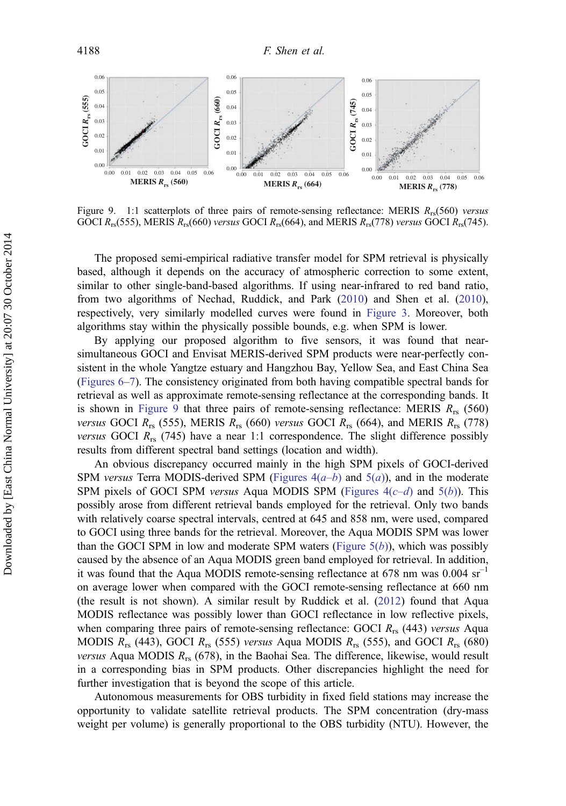

Figure 9. 1:1 scatterplots of three pairs of remote-sensing reflectance: MERIS  $R_{rs}$ (560) versus GOCI  $R_{rs}$ (555), MERIS  $R_{rs}$ (660) versus GOCI  $R_{rs}$ (664), and MERIS  $R_{rs}$ (778) versus GOCI  $R_{rs}$ (745).

The proposed semi-empirical radiative transfer model for SPM retrieval is physically based, although it depends on the accuracy of atmospheric correction to some extent, similar to other single-band-based algorithms. If using near-infrared to red band ratio, from two algorithms of Nechad, Ruddick, and Park [\(2010](#page-19-0)) and Shen et al. [\(2010](#page-19-0)), respectively, very similarly modelled curves were found in [Figure 3](#page-10-0). Moreover, both algorithms stay within the physically possible bounds, e.g. when SPM is lower.

By applying our proposed algorithm to five sensors, it was found that nearsimultaneous GOCI and Envisat MERIS-derived SPM products were near-perfectly consistent in the whole Yangtze estuary and Hangzhou Bay, Yellow Sea, and East China Sea ([Figures 6](#page-13-0)–[7\)](#page-13-0). The consistency originated from both having compatible spectral bands for retrieval as well as approximate remote-sensing reflectance at the corresponding bands. It is shown in Figure 9 that three pairs of remote-sensing reflectance: MERIS  $R_{rs}$  (560) versus GOCI  $R_{rs}$  (555), MERIS  $R_{rs}$  (660) versus GOCI  $R_{rs}$  (664), and MERIS  $R_{rs}$  (778) *versus* GOCI  $R_{rs}$  (745) have a near 1:1 correspondence. The slight difference possibly results from different spectral band settings (location and width).

An obvious discrepancy occurred mainly in the high SPM pixels of GOCI-derived SPM versus Terra MODIS-derived SPM (Figures  $4(a-b)$  and  $5(a)$  $5(a)$ ), and in the moderate SPM pixels of GOCI SPM versus Aqua MODIS SPM (Figures  $4(c-d)$  and  $5(b)$  $5(b)$ ). This possibly arose from different retrieval bands employed for the retrieval. Only two bands with relatively coarse spectral intervals, centred at 645 and 858 nm, were used, compared to GOCI using three bands for the retrieval. Moreover, the Aqua MODIS SPM was lower than the GOCI SPM in low and moderate SPM waters (Figure  $5(b)$ ), which was possibly caused by the absence of an Aqua MODIS green band employed for retrieval. In addition, it was found that the Aqua MODIS remote-sensing reflectance at 678 nm was  $0.004 \text{ sr}^{-1}$ on average lower when compared with the GOCI remote-sensing reflectance at 660 nm (the result is not shown). A similar result by Ruddick et al. ([2012\)](#page-19-0) found that Aqua MODIS reflectance was possibly lower than GOCI reflectance in low reflective pixels, when comparing three pairs of remote-sensing reflectance: GOCI  $R_{rs}$  (443) versus Aqua MODIS  $R_{rs}$  (443), GOCI  $R_{rs}$  (555) versus Aqua MODIS  $R_{rs}$  (555), and GOCI  $R_{rs}$  (680) *versus* Aqua MODIS  $R_{rs}$  (678), in the Baohai Sea. The difference, likewise, would result in a corresponding bias in SPM products. Other discrepancies highlight the need for further investigation that is beyond the scope of this article.

Autonomous measurements for OBS turbidity in fixed field stations may increase the opportunity to validate satellite retrieval products. The SPM concentration (dry-mass weight per volume) is generally proportional to the OBS turbidity (NTU). However, the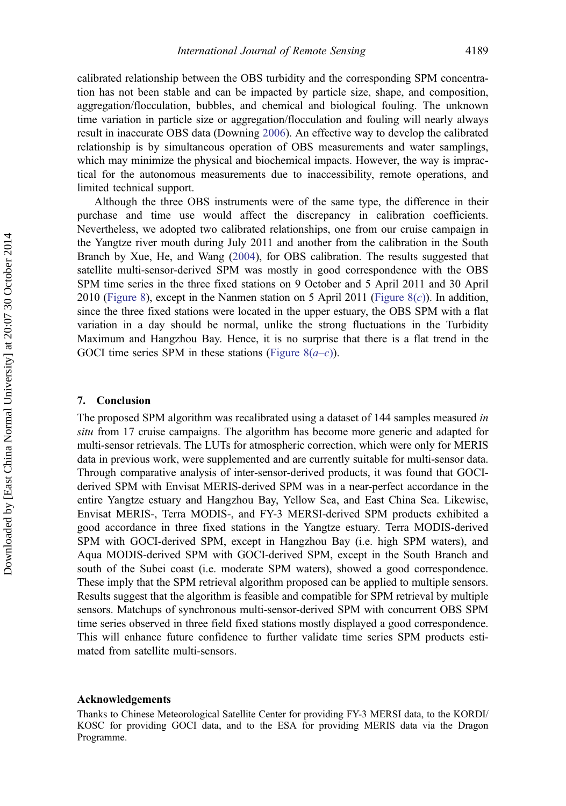calibrated relationship between the OBS turbidity and the corresponding SPM concentration has not been stable and can be impacted by particle size, shape, and composition, aggregation/flocculation, bubbles, and chemical and biological fouling. The unknown time variation in particle size or aggregation/flocculation and fouling will nearly always result in inaccurate OBS data (Downing [2006\)](#page-18-0). An effective way to develop the calibrated relationship is by simultaneous operation of OBS measurements and water samplings, which may minimize the physical and biochemical impacts. However, the way is impractical for the autonomous measurements due to inaccessibility, remote operations, and limited technical support.

Although the three OBS instruments were of the same type, the difference in their purchase and time use would affect the discrepancy in calibration coefficients. Nevertheless, we adopted two calibrated relationships, one from our cruise campaign in the Yangtze river mouth during July 2011 and another from the calibration in the South Branch by Xue, He, and Wang ([2004\)](#page-20-0), for OBS calibration. The results suggested that satellite multi-sensor-derived SPM was mostly in good correspondence with the OBS SPM time series in the three fixed stations on 9 October and 5 April 2011 and 30 April 2010 [\(Figure 8](#page-14-0)), except in the Nanmen station on 5 April 2011 (Figure 8 $(c)$ ). In addition, since the three fixed stations were located in the upper estuary, the OBS SPM with a flat variation in a day should be normal, unlike the strong fluctuations in the Turbidity Maximum and Hangzhou Bay. Hence, it is no surprise that there is a flat trend in the GOCI time series SPM in these stations (Figure  $8(a-c)$ ).

#### 7. Conclusion

The proposed SPM algorithm was recalibrated using a dataset of 144 samples measured in situ from 17 cruise campaigns. The algorithm has become more generic and adapted for multi-sensor retrievals. The LUTs for atmospheric correction, which were only for MERIS data in previous work, were supplemented and are currently suitable for multi-sensor data. Through comparative analysis of inter-sensor-derived products, it was found that GOCIderived SPM with Envisat MERIS-derived SPM was in a near-perfect accordance in the entire Yangtze estuary and Hangzhou Bay, Yellow Sea, and East China Sea. Likewise, Envisat MERIS-, Terra MODIS-, and FY-3 MERSI-derived SPM products exhibited a good accordance in three fixed stations in the Yangtze estuary. Terra MODIS-derived SPM with GOCI-derived SPM, except in Hangzhou Bay (i.e. high SPM waters), and Aqua MODIS-derived SPM with GOCI-derived SPM, except in the South Branch and south of the Subei coast (i.e. moderate SPM waters), showed a good correspondence. These imply that the SPM retrieval algorithm proposed can be applied to multiple sensors. Results suggest that the algorithm is feasible and compatible for SPM retrieval by multiple sensors. Matchups of synchronous multi-sensor-derived SPM with concurrent OBS SPM time series observed in three field fixed stations mostly displayed a good correspondence. This will enhance future confidence to further validate time series SPM products estimated from satellite multi-sensors.

#### Acknowledgements

Thanks to Chinese Meteorological Satellite Center for providing FY-3 MERSI data, to the KORDI/ KOSC for providing GOCI data, and to the ESA for providing MERIS data via the Dragon Programme.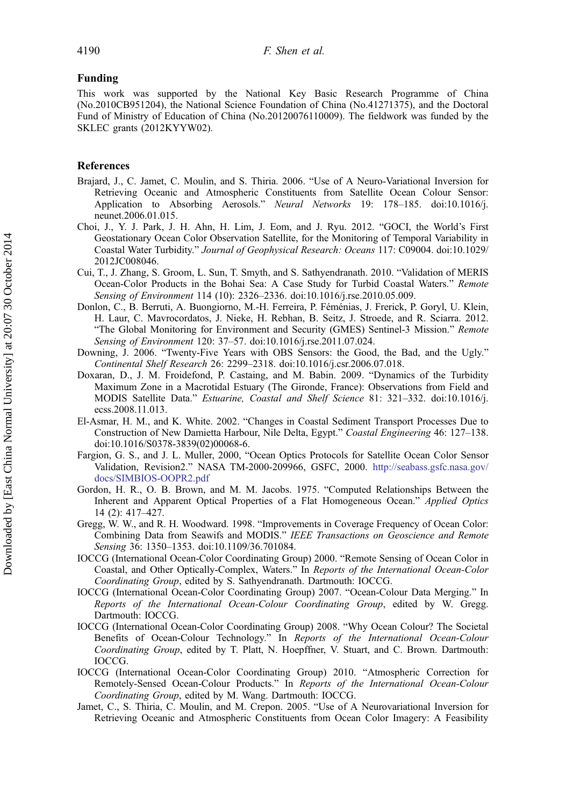#### <span id="page-18-0"></span>Funding

This work was supported by the National Key Basic Research Programme of China (No.2010CB951204), the National Science Foundation of China (No.41271375), and the Doctoral Fund of Ministry of Education of China (No.20120076110009). The fieldwork was funded by the SKLEC grants (2012KYYW02).

#### References

- Brajard, J., C. Jamet, C. Moulin, and S. Thiria. 2006. "Use of A Neuro-Variational Inversion for Retrieving Oceanic and Atmospheric Constituents from Satellite Ocean Colour Sensor: Application to Absorbing Aerosols." Neural Networks 19: 178–185. doi:10.1016/j. neunet.2006.01.015.
- Choi, J., Y. J. Park, J. H. Ahn, H. Lim, J. Eom, and J. Ryu. 2012. "GOCI, the World's First Geostationary Ocean Color Observation Satellite, for the Monitoring of Temporal Variability in Coastal Water Turbidity." Journal of Geophysical Research: Oceans 117: C09004. doi:10.1029/ 2012JC008046.
- Cui, T., J. Zhang, S. Groom, L. Sun, T. Smyth, and S. Sathyendranath. 2010. "Validation of MERIS Ocean-Color Products in the Bohai Sea: A Case Study for Turbid Coastal Waters." Remote Sensing of Environment 114 (10): 2326-2336. doi:10.1016/j.rse.2010.05.009.
- Donlon, C., B. Berruti, A. Buongiorno, M.-H. Ferreira, P. Féménias, J. Frerick, P. Goryl, U. Klein, H. Laur, C. Mavrocordatos, J. Nieke, H. Rebhan, B. Seitz, J. Stroede, and R. Sciarra. 2012. "The Global Monitoring for Environment and Security (GMES) Sentinel-3 Mission." Remote Sensing of Environment 120: 37–57. doi:10.1016/j.rse.2011.07.024.
- Downing, J. 2006. "Twenty-Five Years with OBS Sensors: the Good, the Bad, and the Ugly." Continental Shelf Research 26: 2299–2318. doi:10.1016/j.csr.2006.07.018.
- Doxaran, D., J. M. Froidefond, P. Castaing, and M. Babin. 2009. "Dynamics of the Turbidity Maximum Zone in a Macrotidal Estuary (The Gironde, France): Observations from Field and MODIS Satellite Data." Estuarine, Coastal and Shelf Science 81: 321–332. doi:10.1016/j. ecss.2008.11.013.
- El-Asmar, H. M., and K. White. 2002. "Changes in Coastal Sediment Transport Processes Due to Construction of New Damietta Harbour, Nile Delta, Egypt." Coastal Engineering 46: 127–138. doi:10.1016/S0378-3839(02)00068-6.
- Fargion, G. S., and J. L. Muller, 2000, "Ocean Optics Protocols for Satellite Ocean Color Sensor Validation, Revision2." NASA TM-2000-209966, GSFC, 2000. [http://seabass.gsfc.nasa.gov/](http://seabass.gsfc.nasa.gov/docs/SIMBIOS-OOPR2.pdf) [docs/SIMBIOS-OOPR2.pdf](http://seabass.gsfc.nasa.gov/docs/SIMBIOS-OOPR2.pdf)
- Gordon, H. R., O. B. Brown, and M. M. Jacobs. 1975. "Computed Relationships Between the Inherent and Apparent Optical Properties of a Flat Homogeneous Ocean." Applied Optics 14 (2): 417–427.
- Gregg, W. W., and R. H. Woodward. 1998. "Improvements in Coverage Frequency of Ocean Color: Combining Data from Seawifs and MODIS." IEEE Transactions on Geoscience and Remote Sensing 36: 1350–1353. doi:10.1109/36.701084.
- IOCCG (International Ocean-Color Coordinating Group) 2000. "Remote Sensing of Ocean Color in Coastal, and Other Optically-Complex, Waters." In Reports of the International Ocean-Color Coordinating Group, edited by S. Sathyendranath. Dartmouth: IOCCG.
- IOCCG (International Ocean-Color Coordinating Group) 2007. "Ocean-Colour Data Merging." In Reports of the International Ocean-Colour Coordinating Group, edited by W. Gregg. Dartmouth: IOCCG.
- IOCCG (International Ocean-Color Coordinating Group) 2008. "Why Ocean Colour? The Societal Benefits of Ocean-Colour Technology." In Reports of the International Ocean-Colour Coordinating Group, edited by T. Platt, N. Hoepffner, V. Stuart, and C. Brown. Dartmouth: IOCCG.
- IOCCG (International Ocean-Color Coordinating Group) 2010. "Atmospheric Correction for Remotely-Sensed Ocean-Colour Products." In Reports of the International Ocean-Colour Coordinating Group, edited by M. Wang. Dartmouth: IOCCG.
- Jamet, C., S. Thiria, C. Moulin, and M. Crepon. 2005. "Use of A Neurovariational Inversion for Retrieving Oceanic and Atmospheric Constituents from Ocean Color Imagery: A Feasibility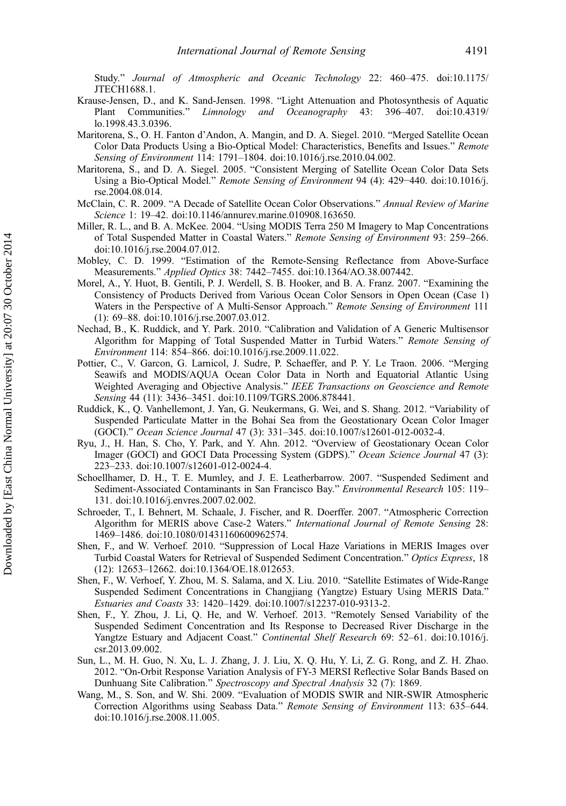<span id="page-19-0"></span>Study." Journal of Atmospheric and Oceanic Technology 22: 460–475. doi:10.1175/ JTECH1688.1.

- Krause-Jensen, D., and K. Sand-Jensen. 1998. "Light Attenuation and Photosynthesis of Aquatic Plant Communities." Limnology and Oceanography 43: 396–407. doi:10.4319/ lo.1998.43.3.0396.
- Maritorena, S., O. H. Fanton d'Andon, A. Mangin, and D. A. Siegel. 2010. "Merged Satellite Ocean Color Data Products Using a Bio-Optical Model: Characteristics, Benefits and Issues." Remote Sensing of Environment 114: 1791-1804. doi:10.1016/j.rse.2010.04.002.
- Maritorena, S., and D. A. Siegel. 2005. "Consistent Merging of Satellite Ocean Color Data Sets Using a Bio-Optical Model." Remote Sensing of Environment 94 (4): 429−440. doi:10.1016/j. rse.2004.08.014.
- McClain, C. R. 2009. "A Decade of Satellite Ocean Color Observations." Annual Review of Marine Science 1: 19–42. doi:10.1146/annurev.marine.010908.163650.
- Miller, R. L., and B. A. McKee. 2004. "Using MODIS Terra 250 M Imagery to Map Concentrations of Total Suspended Matter in Coastal Waters." Remote Sensing of Environment 93: 259–266. doi:10.1016/j.rse.2004.07.012.
- Mobley, C. D. 1999. "Estimation of the Remote-Sensing Reflectance from Above-Surface Measurements." Applied Optics 38: 7442-7455. doi:10.1364/AO.38.007442.
- Morel, A., Y. Huot, B. Gentili, P. J. Werdell, S. B. Hooker, and B. A. Franz. 2007. "Examining the Consistency of Products Derived from Various Ocean Color Sensors in Open Ocean (Case 1) Waters in the Perspective of A Multi-Sensor Approach." Remote Sensing of Environment 111 (1): 69–88. doi:10.1016/j.rse.2007.03.012.
- Nechad, B., K. Ruddick, and Y. Park. 2010. "Calibration and Validation of A Generic Multisensor Algorithm for Mapping of Total Suspended Matter in Turbid Waters." Remote Sensing of Environment 114: 854–866. doi:10.1016/j.rse.2009.11.022.
- Pottier, C., V. Garcon, G. Larnicol, J. Sudre, P. Schaeffer, and P. Y. Le Traon. 2006. "Merging Seawifs and MODIS/AQUA Ocean Color Data in North and Equatorial Atlantic Using Weighted Averaging and Objective Analysis." IEEE Transactions on Geoscience and Remote Sensing 44 (11): 3436–3451. doi:10.1109/TGRS.2006.878441.
- Ruddick, K., Q. Vanhellemont, J. Yan, G. Neukermans, G. Wei, and S. Shang. 2012. "Variability of Suspended Particulate Matter in the Bohai Sea from the Geostationary Ocean Color Imager (GOCI)." Ocean Science Journal 47 (3): 331–345. doi:10.1007/s12601-012-0032-4.
- Ryu, J., H. Han, S. Cho, Y. Park, and Y. Ahn. 2012. "Overview of Geostationary Ocean Color Imager (GOCI) and GOCI Data Processing System (GDPS)." Ocean Science Journal 47 (3): 223–233. doi:10.1007/s12601-012-0024-4.
- Schoellhamer, D. H., T. E. Mumley, and J. E. Leatherbarrow. 2007. "Suspended Sediment and Sediment-Associated Contaminants in San Francisco Bay." Environmental Research 105: 119– 131. doi:10.1016/j.envres.2007.02.002.
- Schroeder, T., I. Behnert, M. Schaale, J. Fischer, and R. Doerffer. 2007. "Atmospheric Correction Algorithm for MERIS above Case-2 Waters." International Journal of Remote Sensing 28: 1469–1486. doi:10.1080/01431160600962574.
- Shen, F., and W. Verhoef. 2010. "Suppression of Local Haze Variations in MERIS Images over Turbid Coastal Waters for Retrieval of Suspended Sediment Concentration." Optics Express, 18 (12): 12653–12662. doi:10.1364/OE.18.012653.
- Shen, F., W. Verhoef, Y. Zhou, M. S. Salama, and X. Liu. 2010. "Satellite Estimates of Wide-Range Suspended Sediment Concentrations in Changjiang (Yangtze) Estuary Using MERIS Data." Estuaries and Coasts 33: 1420–1429. doi:10.1007/s12237-010-9313-2.
- Shen, F., Y. Zhou, J. Li, Q. He, and W. Verhoef. 2013. "Remotely Sensed Variability of the Suspended Sediment Concentration and Its Response to Decreased River Discharge in the Yangtze Estuary and Adjacent Coast." Continental Shelf Research 69: 52-61. doi:10.1016/j. csr.2013.09.002.
- Sun, L., M. H. Guo, N. Xu, L. J. Zhang, J. J. Liu, X. Q. Hu, Y. Li, Z. G. Rong, and Z. H. Zhao. 2012. "On-Orbit Response Variation Analysis of FY-3 MERSI Reflective Solar Bands Based on Dunhuang Site Calibration." Spectroscopy and Spectral Analysis 32 (7): 1869.
- Wang, M., S. Son, and W. Shi. 2009. "Evaluation of MODIS SWIR and NIR-SWIR Atmospheric Correction Algorithms using Seabass Data." Remote Sensing of Environment 113: 635–644. doi:10.1016/j.rse.2008.11.005.